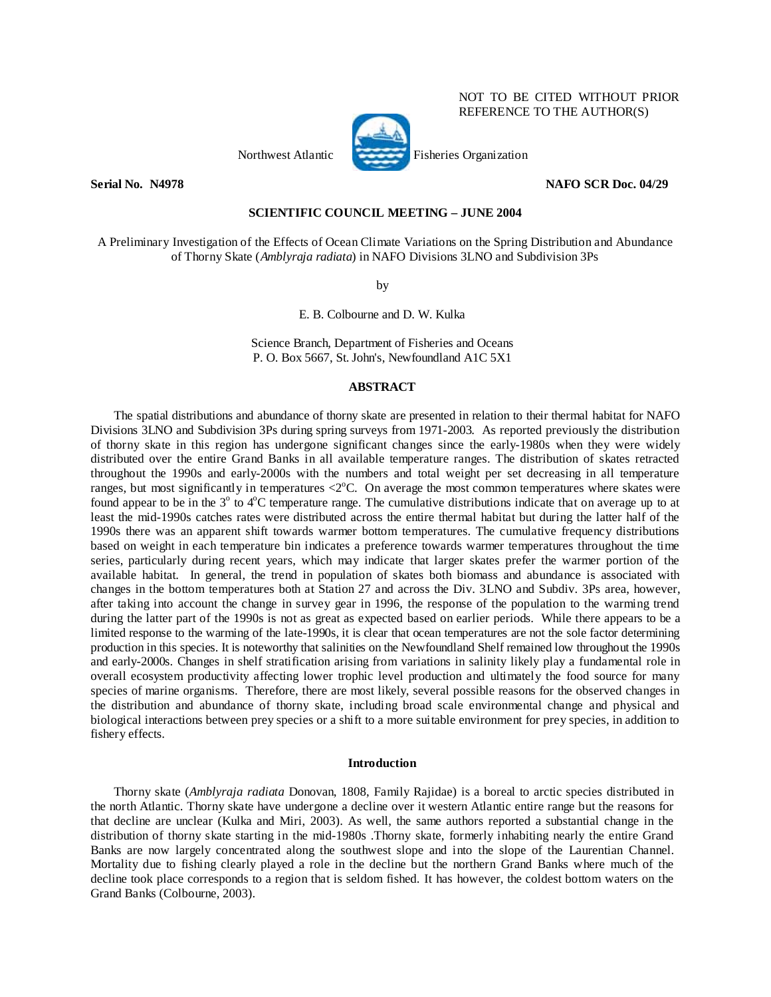# NOT TO BE CITED WITHOUT PRIOR REFERENCE TO THE AUTHOR(S)



Northwest Atlantic Fisheries Organization

## **Serial No. - N4978** NAFO SCR Doc. 04/29

## **SCIENTIFIC COUNCIL MEETING – JUNE 2004**

A Preliminary Investigation of the Effects of Ocean Climate Variations on the Spring Distribution and Abundance of Thorny Skate (*Amblyraja radiata*) in NAFO Divisions 3LNO and Subdivision 3Ps

by

E. B. Colbourne and D. W. Kulka

Science Branch, Department of Fisheries and Oceans P. O. Box 5667, St. John's, Newfoundland A1C 5X1

## **ABSTRACT**

The spatial distributions and abundance of thorny skate are presented in relation to their thermal habitat for NAFO Divisions 3LNO and Subdivision 3Ps during spring surveys from 1971-2003. As reported previously the distribution of thorny skate in this region has undergone significant changes since the early-1980s when they were widely distributed over the entire Grand Banks in all available temperature ranges. The distribution of skates retracted throughout the 1990s and early-2000s with the numbers and total weight per set decreasing in all temperature ranges, but most significantly in temperatures  $\langle 2^{\circ}C$ . On average the most common temperatures where skates were found appear to be in the  $3^\circ$  to  $4^\circ$ C temperature range. The cumulative distributions indicate that on average up to at least the mid-1990s catches rates were distributed across the entire thermal habitat but during the latter half of the 1990s there was an apparent shift towards warmer bottom temperatures. The cumulative frequency distributions based on weight in each temperature bin indicates a preference towards warmer temperatures throughout the time series, particularly during recent years, which may indicate that larger skates prefer the warmer portion of the available habitat. In general, the trend in population of skates both biomass and abundance is associated with changes in the bottom temperatures both at Station 27 and across the Div. 3LNO and Subdiv. 3Ps area, however, after taking into account the change in survey gear in 1996, the response of the population to the warming trend during the latter part of the 1990s is not as great as expected based on earlier periods. While there appears to be a limited response to the warming of the late-1990s, it is clear that ocean temperatures are not the sole factor determining production in this species. It is noteworthy that salinities on the Newfoundland Shelf remained low throughout the 1990s and early-2000s. Changes in shelf stratification arising from variations in salinity likely play a fundamental role in overall ecosystem productivity affecting lower trophic level production and ultimately the food source for many species of marine organisms. Therefore, there are most likely, several possible reasons for the observed changes in the distribution and abundance of thorny skate, including broad scale environmental change and physical and biological interactions between prey species or a shift to a more suitable environment for prey species, in addition to fishery effects.

#### **Introduction**

Thorny skate (*Amblyraja radiata* Donovan, 1808, Family Rajidae) is a boreal to arctic species distributed in the north Atlantic. Thorny skate have undergone a decline over it western Atlantic entire range but the reasons for that decline are unclear (Kulka and Miri, 2003). As well, the same authors reported a substantial change in the distribution of thorny skate starting in the mid-1980s .Thorny skate, formerly inhabiting nearly the entire Grand Banks are now largely concentrated along the southwest slope and into the slope of the Laurentian Channel. Mortality due to fishing clearly played a role in the decline but the northern Grand Banks where much of the decline took place corresponds to a region that is seldom fished. It has however, the coldest bottom waters on the Grand Banks (Colbourne, 2003).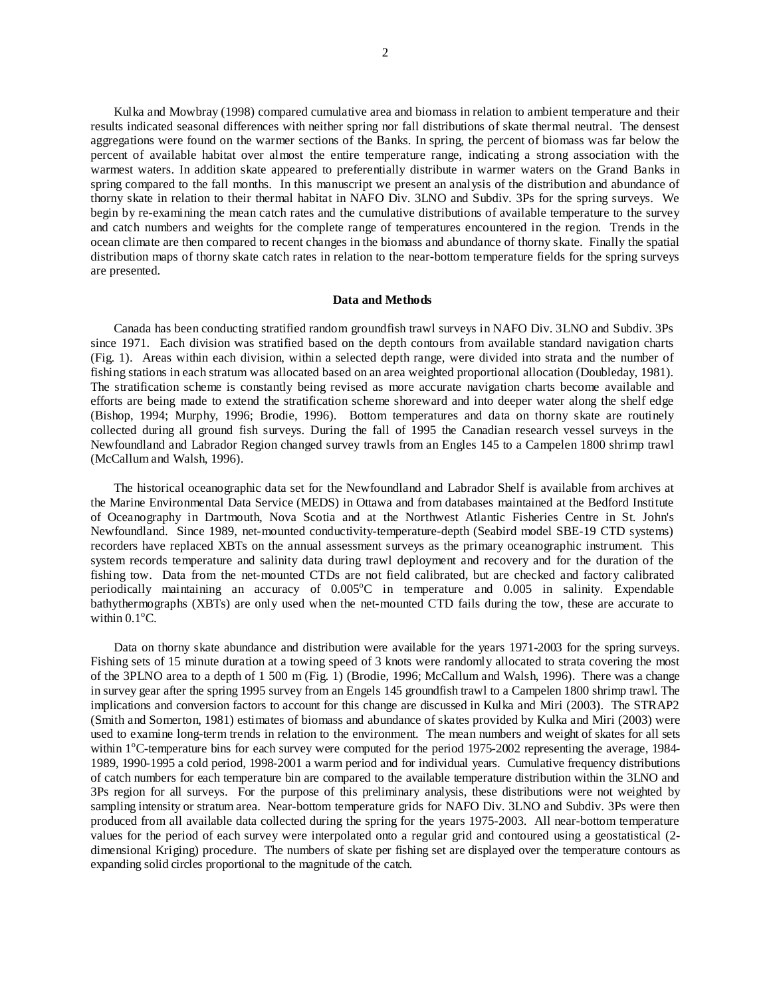Kulka and Mowbray (1998) compared cumulative area and biomass in relation to ambient temperature and their results indicated seasonal differences with neither spring nor fall distributions of skate thermal neutral. The densest aggregations were found on the warmer sections of the Banks. In spring, the percent of biomass was far below the percent of available habitat over almost the entire temperature range, indicating a strong association with the warmest waters. In addition skate appeared to preferentially distribute in warmer waters on the Grand Banks in spring compared to the fall months. In this manuscript we present an analysis of the distribution and abundance of thorny skate in relation to their thermal habitat in NAFO Div. 3LNO and Subdiv. 3Ps for the spring surveys. We begin by re-examining the mean catch rates and the cumulative distributions of available temperature to the survey and catch numbers and weights for the complete range of temperatures encountered in the region. Trends in the ocean climate are then compared to recent changes in the biomass and abundance of thorny skate. Finally the spatial distribution maps of thorny skate catch rates in relation to the near-bottom temperature fields for the spring surveys are presented.

## **Data and Methods**

Canada has been conducting stratified random groundfish trawl surveys in NAFO Div. 3LNO and Subdiv. 3Ps since 1971. Each division was stratified based on the depth contours from available standard navigation charts (Fig. 1). Areas within each division, within a selected depth range, were divided into strata and the number of fishing stations in each stratum was allocated based on an area weighted proportional allocation (Doubleday, 1981). The stratification scheme is constantly being revised as more accurate navigation charts become available and efforts are being made to extend the stratification scheme shoreward and into deeper water along the shelf edge (Bishop, 1994; Murphy, 1996; Brodie, 1996). Bottom temperatures and data on thorny skate are routinely collected during all ground fish surveys. During the fall of 1995 the Canadian research vessel surveys in the Newfoundland and Labrador Region changed survey trawls from an Engles 145 to a Campelen 1800 shrimp trawl (McCallum and Walsh, 1996).

The historical oceanographic data set for the Newfoundland and Labrador Shelf is available from archives at the Marine Environmental Data Service (MEDS) in Ottawa and from databases maintained at the Bedford Institute of Oceanography in Dartmouth, Nova Scotia and at the Northwest Atlantic Fisheries Centre in St. John's Newfoundland. Since 1989, net-mounted conductivity-temperature-depth (Seabird model SBE-19 CTD systems) recorders have replaced XBTs on the annual assessment surveys as the primary oceanographic instrument. This system records temperature and salinity data during trawl deployment and recovery and for the duration of the fishing tow. Data from the net-mounted CTDs are not field calibrated, but are checked and factory calibrated periodically maintaining an accuracy of 0.005°C in temperature and 0.005 in salinity. Expendable bathythermographs (XBTs) are only used when the net-mounted CTD fails during the tow, these are accurate to within  $0.1^{\circ}$ C.

Data on thorny skate abundance and distribution were available for the years 1971-2003 for the spring surveys. Fishing sets of 15 minute duration at a towing speed of 3 knots were randomly allocated to strata covering the most of the 3PLNO area to a depth of 1 500 m (Fig. 1) (Brodie, 1996; McCallum and Walsh, 1996). There was a change in survey gear after the spring 1995 survey from an Engels 145 groundfish trawl to a Campelen 1800 shrimp trawl. The implications and conversion factors to account for this change are discussed in Kulka and Miri (2003). The STRAP2 (Smith and Somerton, 1981) estimates of biomass and abundance of skates provided by Kulka and Miri (2003) were used to examine long-term trends in relation to the environment. The mean numbers and weight of skates for all sets within 1°C-temperature bins for each survey were computed for the period 1975-2002 representing the average, 1984-1989, 1990-1995 a cold period, 1998-2001 a warm period and for individual years. Cumulative frequency distributions of catch numbers for each temperature bin are compared to the available temperature distribution within the 3LNO and 3Ps region for all surveys. For the purpose of this preliminary analysis, these distributions were not weighted by sampling intensity or stratum area. Near-bottom temperature grids for NAFO Div. 3LNO and Subdiv. 3Ps were then produced from all available data collected during the spring for the years 1975-2003. All near-bottom temperature values for the period of each survey were interpolated onto a regular grid and contoured using a geostatistical (2 dimensional Kriging) procedure. The numbers of skate per fishing set are displayed over the temperature contours as expanding solid circles proportional to the magnitude of the catch.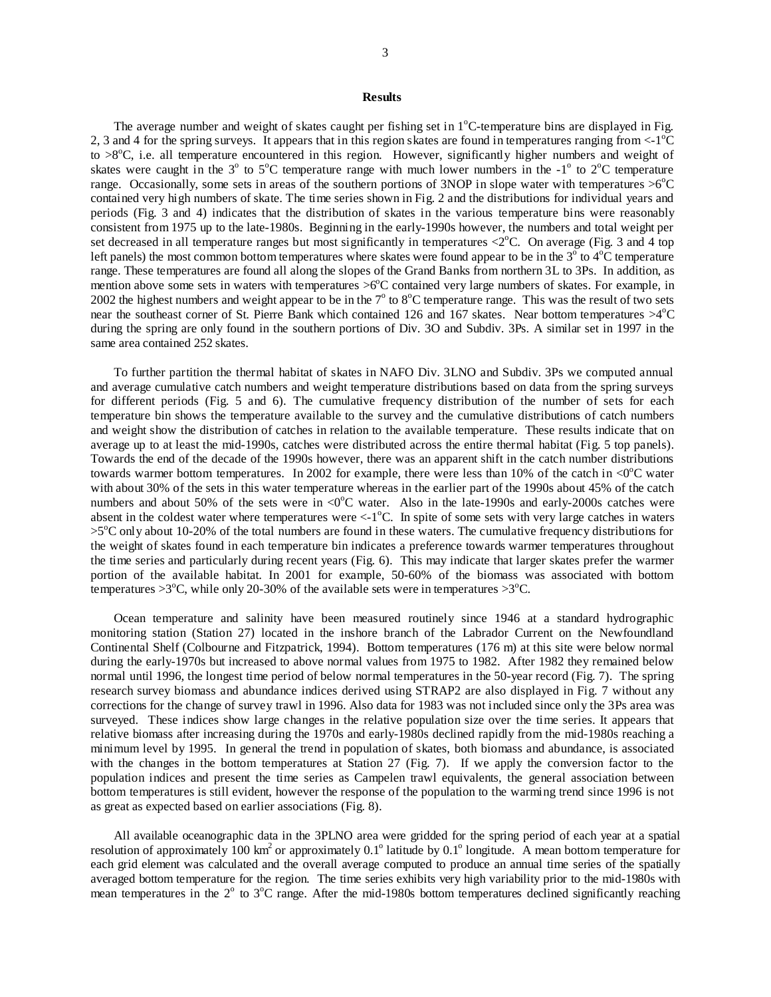### **Results**

The average number and weight of skates caught per fishing set in 1°C-temperature bins are displayed in Fig. 2, 3 and 4 for the spring surveys. It appears that in this region skates are found in temperatures ranging from  $\langle -1^{\circ}\text{C}$ to >8<sup>o</sup>C, i.e. all temperature encountered in this region. However, significantly higher numbers and weight of skates were caught in the  $3^{\circ}$  to  $5^{\circ}$ C temperature range with much lower numbers in the  $-1^{\circ}$  to  $2^{\circ}$ C temperature range. Occasionally, some sets in areas of the southern portions of 3NOP in slope water with temperatures  $>6^{\circ}C$ contained very high numbers of skate. The time series shown in Fig. 2 and the distributions for individual years and periods (Fig. 3 and 4) indicates that the distribution of skates in the various temperature bins were reasonably consistent from 1975 up to the late-1980s. Beginning in the early-1990s however, the numbers and total weight per set decreased in all temperature ranges but most significantly in temperatures  $\langle 2^{\circ}$ C. On average (Fig. 3 and 4 top left panels) the most common bottom temperatures where skates were found appear to be in the  $3^\circ$  to  $4^\circ$ C temperature range. These temperatures are found all along the slopes of the Grand Banks from northern 3L to 3Ps. In addition, as mention above some sets in waters with temperatures >6°C contained very large numbers of skates. For example, in 2002 the highest numbers and weight appear to be in the  $7^{\circ}$  to  $8^{\circ}$ C temperature range. This was the result of two sets near the southeast corner of St. Pierre Bank which contained 126 and 167 skates. Near bottom temperatures  $>4^{\circ}$ C during the spring are only found in the southern portions of Div. 3O and Subdiv. 3Ps. A similar set in 1997 in the same area contained 252 skates.

To further partition the thermal habitat of skates in NAFO Div. 3LNO and Subdiv. 3Ps we computed annual and average cumulative catch numbers and weight temperature distributions based on data from the spring surveys for different periods (Fig. 5 and 6). The cumulative frequency distribution of the number of sets for each temperature bin shows the temperature available to the survey and the cumulative distributions of catch numbers and weight show the distribution of catches in relation to the available temperature. These results indicate that on average up to at least the mid-1990s, catches were distributed across the entire thermal habitat (Fig. 5 top panels). Towards the end of the decade of the 1990s however, there was an apparent shift in the catch number distributions towards warmer bottom temperatures. In 2002 for example, there were less than 10% of the catch in  $\langle 0^{\circ}$ C water with about 30% of the sets in this water temperature whereas in the earlier part of the 1990s about 45% of the catch numbers and about 50% of the sets were in  $\langle 0^{\circ}$ C water. Also in the late-1990s and early-2000s catches were absent in the coldest water where temperatures were  $\langle -1^{\circ}C \rangle$ . In spite of some sets with very large catches in waters >5<sup>o</sup>C only about 10-20% of the total numbers are found in these waters. The cumulative frequency distributions for the weight of skates found in each temperature bin indicates a preference towards warmer temperatures throughout the time series and particularly during recent years (Fig. 6). This may indicate that larger skates prefer the warmer portion of the available habitat. In 2001 for example, 50-60% of the biomass was associated with bottom temperatures  $>3^{\circ}C$ , while only 20-30% of the available sets were in temperatures  $>3^{\circ}C$ .

Ocean temperature and salinity have been measured routinely since 1946 at a standard hydrographic monitoring station (Station 27) located in the inshore branch of the Labrador Current on the Newfoundland Continental Shelf (Colbourne and Fitzpatrick, 1994). Bottom temperatures (176 m) at this site were below normal during the early-1970s but increased to above normal values from 1975 to 1982. After 1982 they remained below normal until 1996, the longest time period of below normal temperatures in the 50-year record (Fig. 7). The spring research survey biomass and abundance indices derived using STRAP2 are also displayed in Fig. 7 without any corrections for the change of survey trawl in 1996. Also data for 1983 was not included since only the 3Ps area was surveyed. These indices show large changes in the relative population size over the time series. It appears that relative biomass after increasing during the 1970s and early-1980s declined rapidly from the mid-1980s reaching a minimum level by 1995. In general the trend in population of skates, both biomass and abundance, is associated with the changes in the bottom temperatures at Station 27 (Fig. 7). If we apply the conversion factor to the population indices and present the time series as Campelen trawl equivalents, the general association between bottom temperatures is still evident, however the response of the population to the warming trend since 1996 is not as great as expected based on earlier associations (Fig. 8).

All available oceanographic data in the 3PLNO area were gridded for the spring period of each year at a spatial resolution of approximately  $100 \text{ km}^2$  or approximately  $0.1^{\circ}$  latitude by  $0.1^{\circ}$  longitude. A mean bottom temperature for each grid element was calculated and the overall average computed to produce an annual time series of the spatially averaged bottom temperature for the region. The time series exhibits very high variability prior to the mid-1980s with mean temperatures in the 2° to 3°C range. After the mid-1980s bottom temperatures declined significantly reaching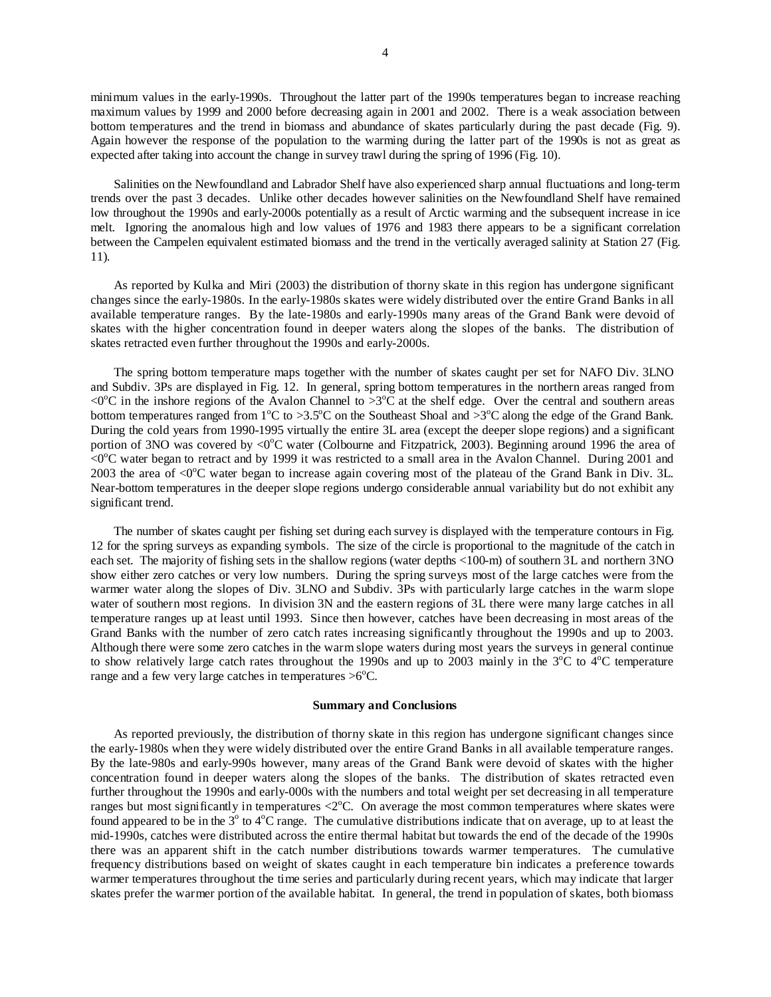minimum values in the early-1990s. Throughout the latter part of the 1990s temperatures began to increase reaching maximum values by 1999 and 2000 before decreasing again in 2001 and 2002. There is a weak association between bottom temperatures and the trend in biomass and abundance of skates particularly during the past decade (Fig. 9). Again however the response of the population to the warming during the latter part of the 1990s is not as great as expected after taking into account the change in survey trawl during the spring of 1996 (Fig. 10).

Salinities on the Newfoundland and Labrador Shelf have also experienced sharp annual fluctuations and long-term trends over the past 3 decades. Unlike other decades however salinities on the Newfoundland Shelf have remained low throughout the 1990s and early-2000s potentially as a result of Arctic warming and the subsequent increase in ice melt. Ignoring the anomalous high and low values of 1976 and 1983 there appears to be a significant correlation between the Campelen equivalent estimated biomass and the trend in the vertically averaged salinity at Station 27 (Fig. 11).

As reported by Kulka and Miri (2003) the distribution of thorny skate in this region has undergone significant changes since the early-1980s. In the early-1980s skates were widely distributed over the entire Grand Banks in all available temperature ranges. By the late-1980s and early-1990s many areas of the Grand Bank were devoid of skates with the higher concentration found in deeper waters along the slopes of the banks. The distribution of skates retracted even further throughout the 1990s and early-2000s.

The spring bottom temperature maps together with the number of skates caught per set for NAFO Div. 3LNO and Subdiv. 3Ps are displayed in Fig. 12. In general, spring bottom temperatures in the northern areas ranged from  $\leq 0^{\circ}$ C in the inshore regions of the Avalon Channel to  $>3^{\circ}$ C at the shelf edge. Over the central and southern areas bottom temperatures ranged from  $1^{\circ}C$  to >3.5°C on the Southeast Shoal and >3°C along the edge of the Grand Bank. During the cold years from 1990-1995 virtually the entire 3L area (except the deeper slope regions) and a significant portion of 3NO was covered by <0 $^{\circ}$ C water (Colbourne and Fitzpatrick, 2003). Beginning around 1996 the area of  $<$  0 $^{\circ}$ C water began to retract and by 1999 it was restricted to a small area in the Avalon Channel. During 2001 and 2003 the area of  $\langle 0^{\circ}$ C water began to increase again covering most of the plateau of the Grand Bank in Div. 3L. Near-bottom temperatures in the deeper slope regions undergo considerable annual variability but do not exhibit any significant trend.

The number of skates caught per fishing set during each survey is displayed with the temperature contours in Fig. 12 for the spring surveys as expanding symbols. The size of the circle is proportional to the magnitude of the catch in each set. The majority of fishing sets in the shallow regions (water depths <100-m) of southern 3L and northern 3NO show either zero catches or very low numbers. During the spring surveys most of the large catches were from the warmer water along the slopes of Div. 3LNO and Subdiv. 3Ps with particularly large catches in the warm slope water of southern most regions. In division 3N and the eastern regions of 3L there were many large catches in all temperature ranges up at least until 1993. Since then however, catches have been decreasing in most areas of the Grand Banks with the number of zero catch rates increasing significantly throughout the 1990s and up to 2003. Although there were some zero catches in the warm slope waters during most years the surveys in general continue to show relatively large catch rates throughout the 1990s and up to 2003 mainly in the  $3^{\circ}C$  to  $4^{\circ}C$  temperature range and a few very large catches in temperatures  $>6^{\circ}$ C.

## **Summary and Conclusions**

As reported previously, the distribution of thorny skate in this region has undergone significant changes since the early-1980s when they were widely distributed over the entire Grand Banks in all available temperature ranges. By the late-980s and early-990s however, many areas of the Grand Bank were devoid of skates with the higher concentration found in deeper waters along the slopes of the banks. The distribution of skates retracted even further throughout the 1990s and early-000s with the numbers and total weight per set decreasing in all temperature ranges but most significantly in temperatures  $\langle 2^{\circ}$ C. On average the most common temperatures where skates were found appeared to be in the  $3^{\circ}$  to  $4^{\circ}$ C range. The cumulative distributions indicate that on average, up to at least the mid-1990s, catches were distributed across the entire thermal habitat but towards the end of the decade of the 1990s there was an apparent shift in the catch number distributions towards warmer temperatures. The cumulative frequency distributions based on weight of skates caught in each temperature bin indicates a preference towards warmer temperatures throughout the time series and particularly during recent years, which may indicate that larger skates prefer the warmer portion of the available habitat. In general, the trend in population of skates, both biomass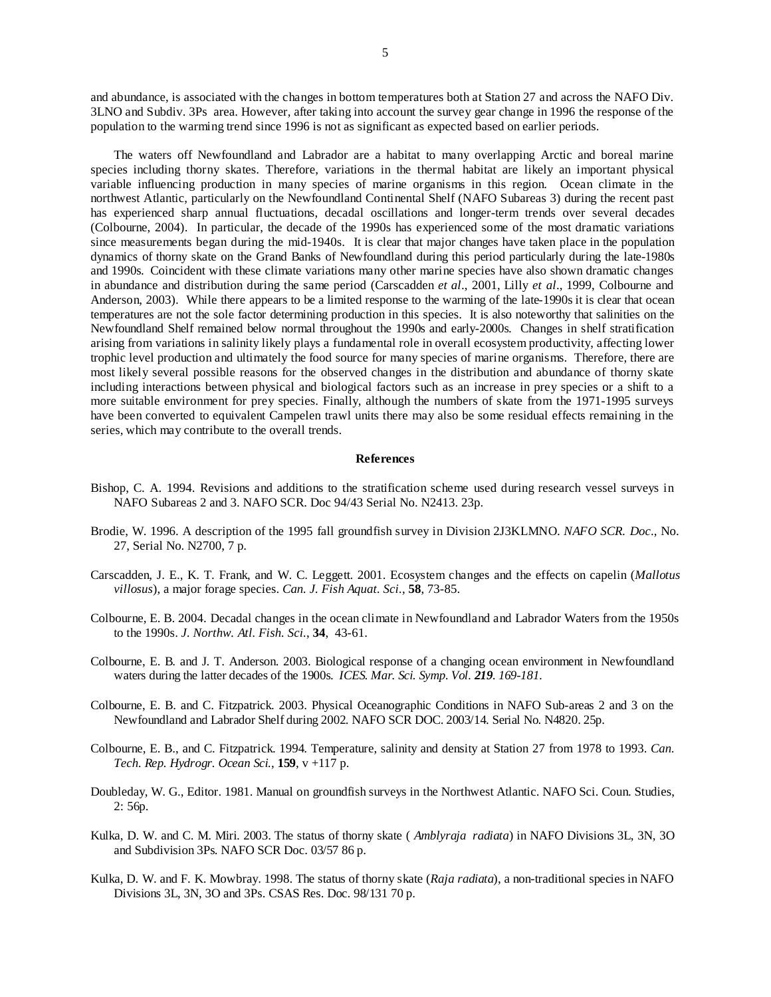and abundance, is associated with the changes in bottom temperatures both at Station 27 and across the NAFO Div. 3LNO and Subdiv. 3Ps area. However, after taking into account the survey gear change in 1996 the response of the population to the warming trend since 1996 is not as significant as expected based on earlier periods.

The waters off Newfoundland and Labrador are a habitat to many overlapping Arctic and boreal marine species including thorny skates. Therefore, variations in the thermal habitat are likely an important physical variable influencing production in many species of marine organisms in this region. Ocean climate in the northwest Atlantic, particularly on the Newfoundland Continental Shelf (NAFO Subareas 3) during the recent past has experienced sharp annual fluctuations, decadal oscillations and longer-term trends over several decades (Colbourne, 2004). In particular, the decade of the 1990s has experienced some of the most dramatic variations since measurements began during the mid-1940s. It is clear that major changes have taken place in the population dynamics of thorny skate on the Grand Banks of Newfoundland during this period particularly during the late-1980s and 1990s. Coincident with these climate variations many other marine species have also shown dramatic changes in abundance and distribution during the same period (Carscadden *et al*., 2001, Lilly *et al*., 1999, Colbourne and Anderson, 2003). While there appears to be a limited response to the warming of the late-1990s it is clear that ocean temperatures are not the sole factor determining production in this species. It is also noteworthy that salinities on the Newfoundland Shelf remained below normal throughout the 1990s and early-2000s. Changes in shelf stratification arising from variations in salinity likely plays a fundamental role in overall ecosystem productivity, affecting lower trophic level production and ultimately the food source for many species of marine organisms. Therefore, there are most likely several possible reasons for the observed changes in the distribution and abundance of thorny skate including interactions between physical and biological factors such as an increase in prey species or a shift to a more suitable environment for prey species. Finally, although the numbers of skate from the 1971-1995 surveys have been converted to equivalent Campelen trawl units there may also be some residual effects remaining in the series, which may contribute to the overall trends.

## **References**

- Bishop, C. A. 1994. Revisions and additions to the stratification scheme used during research vessel surveys in NAFO Subareas 2 and 3. NAFO SCR. Doc 94/43 Serial No. N2413. 23p.
- Brodie, W. 1996. A description of the 1995 fall groundfish survey in Division 2J3KLMNO. *NAFO SCR. Doc*., No. 27, Serial No. N2700, 7 p.
- Carscadden, J. E., K. T. Frank, and W. C. Leggett. 2001. Ecosystem changes and the effects on capelin (*Mallotus villosus*), a major forage species. *Can. J. Fish Aquat. Sci.*, **58**, 73-85.
- Colbourne, E. B. 2004. Decadal changes in the ocean climate in Newfoundland and Labrador Waters from the 1950s to the 1990s. *J. Northw. Atl. Fish. Sci.*, **34**, 43-61.
- Colbourne, E. B. and J. T. Anderson. 2003. Biological response of a changing ocean environment in Newfoundland waters during the latter decades of the 1900s. *ICES. Mar. Sci. Symp. Vol. 219. 169-181.*
- Colbourne, E. B. and C. Fitzpatrick. 2003. Physical Oceanographic Conditions in NAFO Sub-areas 2 and 3 on the Newfoundland and Labrador Shelf during 2002. NAFO SCR DOC. 2003/14. Serial No. N4820. 25p.
- Colbourne, E. B., and C. Fitzpatrick. 1994. Temperature, salinity and density at Station 27 from 1978 to 1993. *Can. Tech. Rep. Hydrogr. Ocean Sci.*, **159**, v +117 p.
- Doubleday, W. G., Editor. 1981. Manual on groundfish surveys in the Northwest Atlantic. NAFO Sci. Coun. Studies, 2: 56p.
- Kulka, D. W. and C. M. Miri. 2003. The status of thorny skate ( *Amblyraja radiata*) in NAFO Divisions 3L, 3N, 3O and Subdivision 3Ps. NAFO SCR Doc. 03/57 86 p.
- Kulka, D. W. and F. K. Mowbray. 1998. The status of thorny skate (*Raja radiata*), a non-traditional species in NAFO Divisions 3L, 3N, 3O and 3Ps. CSAS Res. Doc. 98/131 70 p.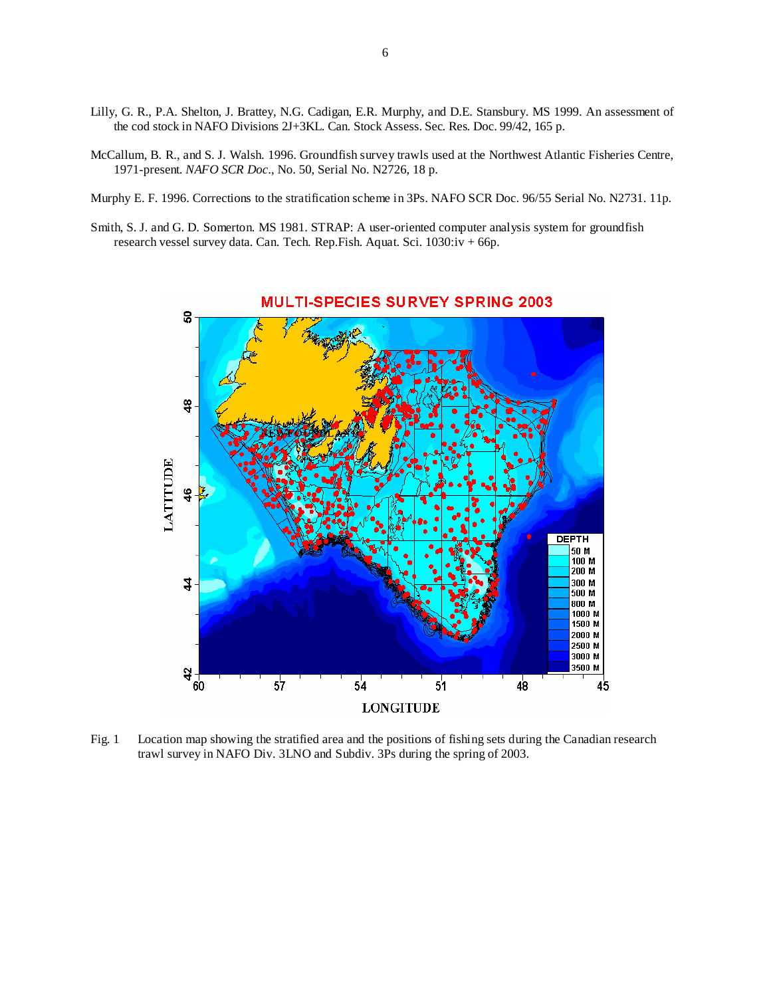- Lilly, G. R., P.A. Shelton, J. Brattey, N.G. Cadigan, E.R. Murphy, and D.E. Stansbury. MS 1999. An assessment of the cod stock in NAFO Divisions 2J+3KL. Can. Stock Assess. Sec. Res. Doc. 99/42, 165 p.
- McCallum, B. R., and S. J. Walsh. 1996. Groundfish survey trawls used at the Northwest Atlantic Fisheries Centre, 1971-present. *NAFO SCR Doc*., No. 50, Serial No. N2726, 18 p.
- Murphy E. F. 1996. Corrections to the stratification scheme in 3Ps. NAFO SCR Doc. 96/55 Serial No. N2731. 11p.
- Smith, S. J. and G. D. Somerton. MS 1981. STRAP: A user-oriented computer analysis system for groundfish research vessel survey data. Can. Tech. Rep.Fish. Aquat. Sci. 1030:iv + 66p.



**MULTI-SPECIES SURVEY SPRING 2003** 

Fig. 1 Location map showing the stratified area and the positions of fishing sets during the Canadian research trawl survey in NAFO Div. 3LNO and Subdiv. 3Ps during the spring of 2003.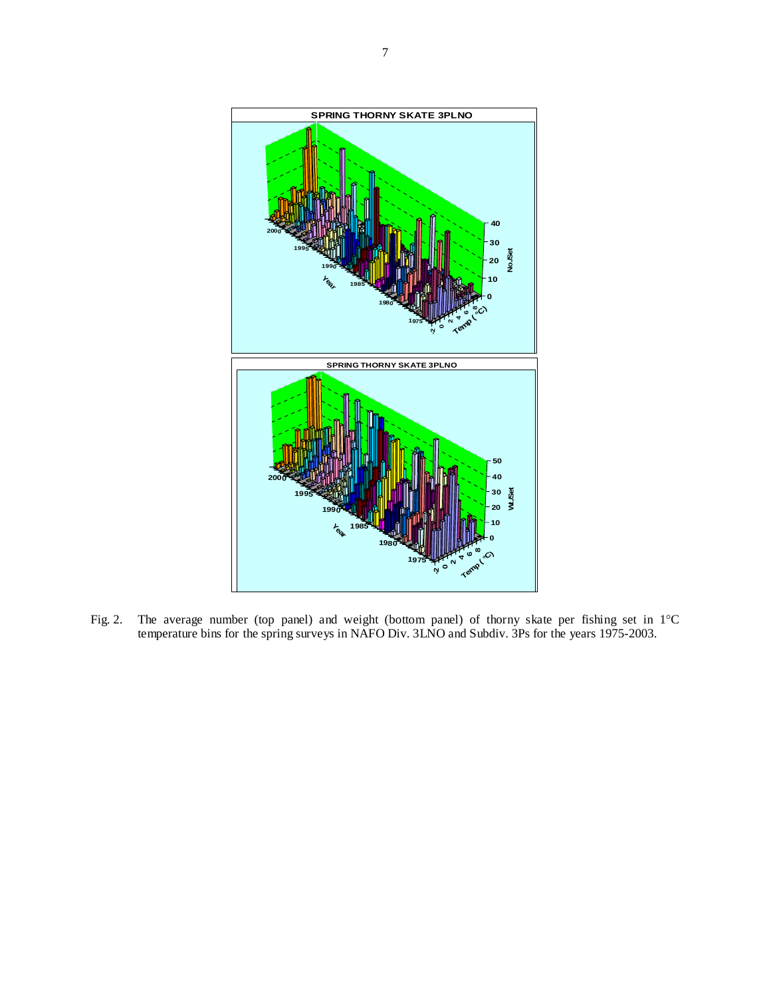

Fig. 2. The average number (top panel) and weight (bottom panel) of thorny skate per fishing set in 1°C temperature bins for the spring surveys in NAFO Div. 3LNO and Subdiv. 3Ps for the years 1975-2003.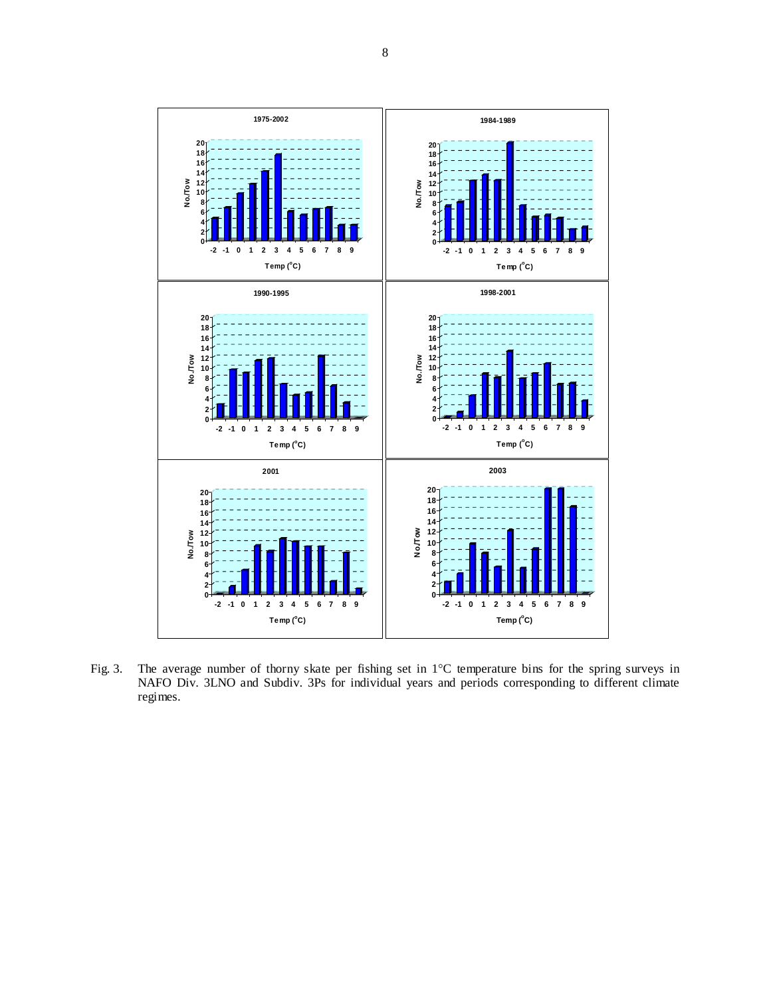

Fig. 3. The average number of thorny skate per fishing set in 1°C temperature bins for the spring surveys in NAFO Div. 3LNO and Subdiv. 3Ps for individual years and periods corresponding to different climate regimes.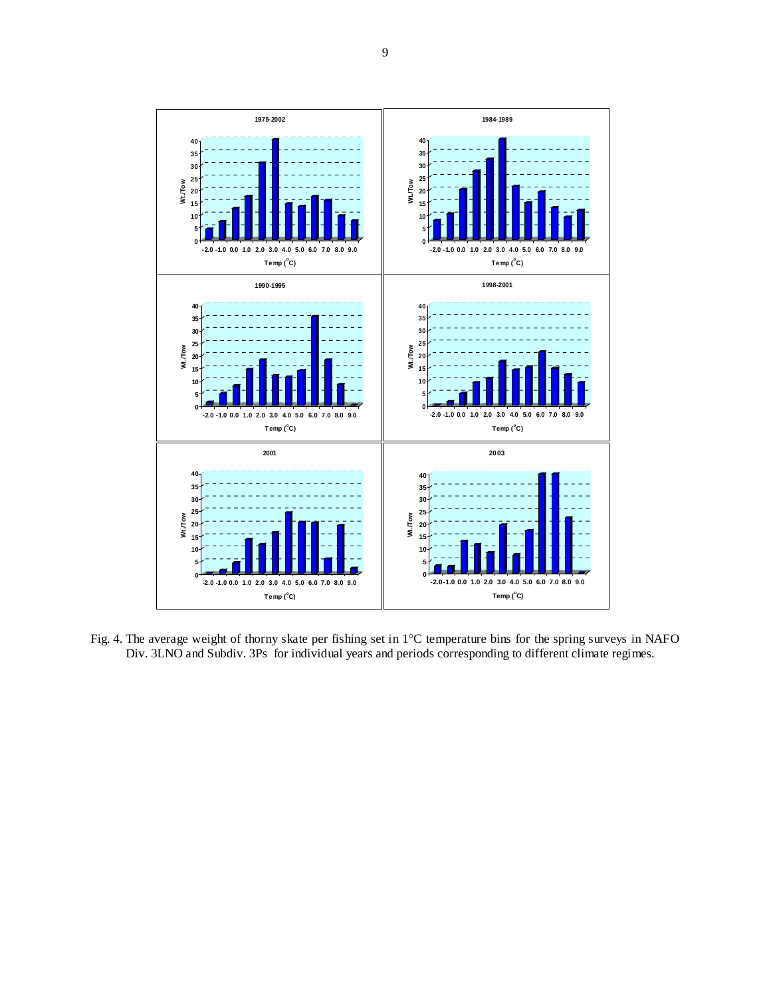

Fig. 4. The average weight of thorny skate per fishing set in 1°C temperature bins for the spring surveys in NAFO Div. 3LNO and Subdiv. 3Ps for individual years and periods corresponding to different climate regimes.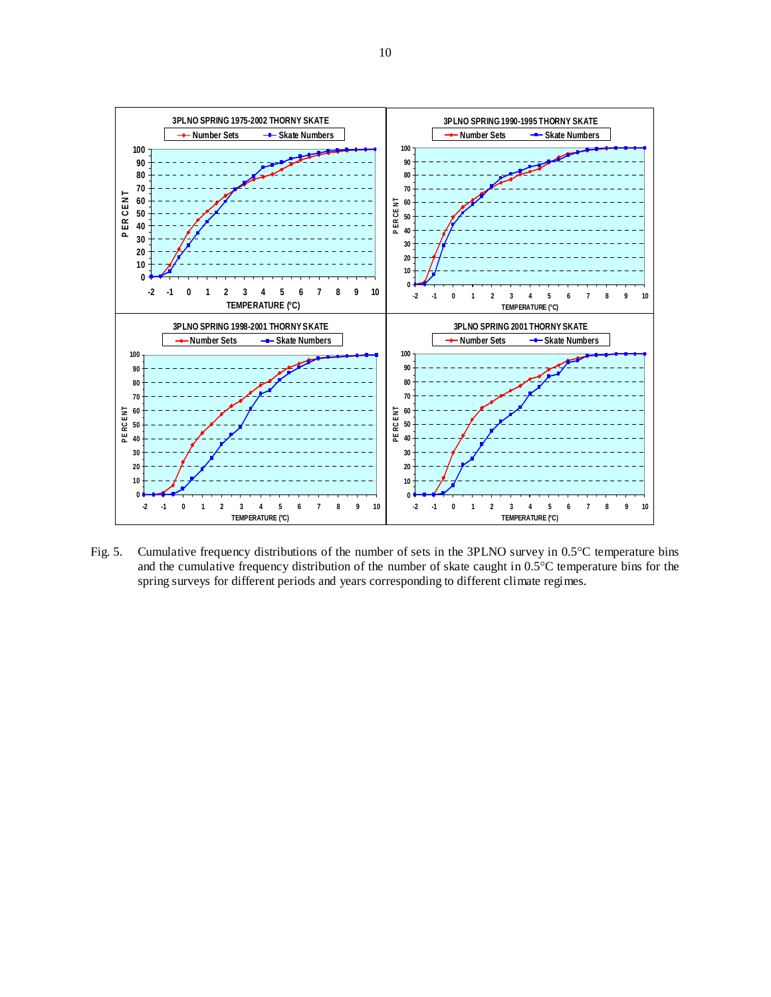

Fig. 5. Cumulative frequency distributions of the number of sets in the 3PLNO survey in 0.5°C temperature bins and the cumulative frequency distribution of the number of skate caught in 0.5°C temperature bins for the spring surveys for different periods and years corresponding to different climate regimes.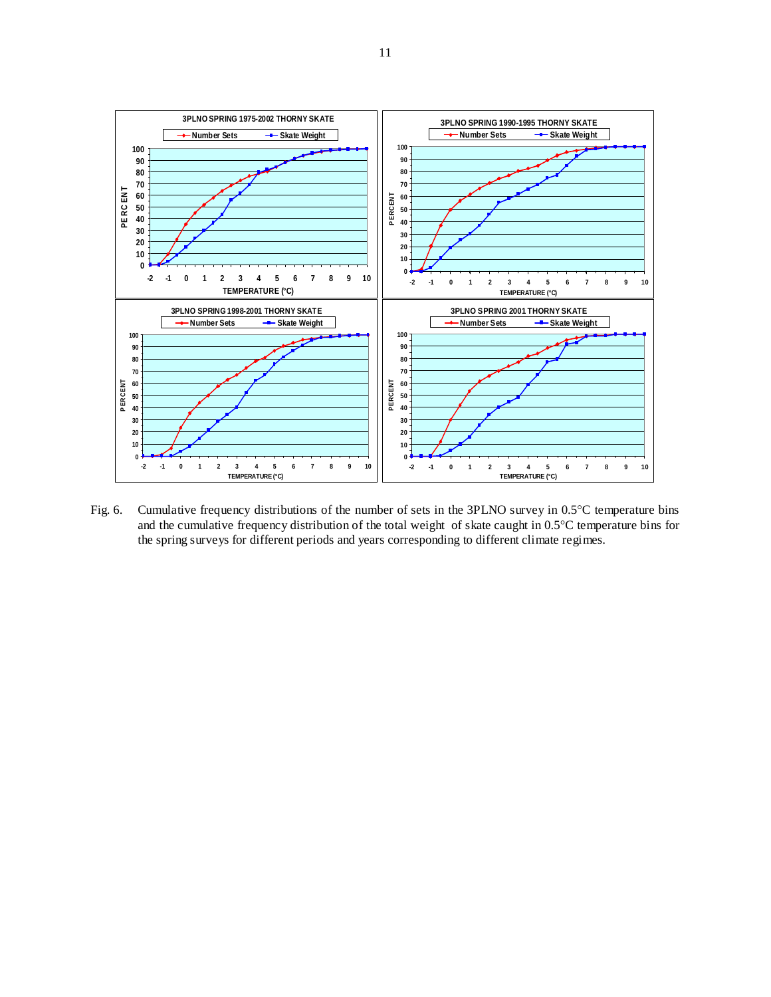

Fig. 6. Cumulative frequency distributions of the number of sets in the 3PLNO survey in 0.5°C temperature bins and the cumulative frequency distribution of the total weight of skate caught in 0.5°C temperature bins for the spring surveys for different periods and years corresponding to different climate regimes.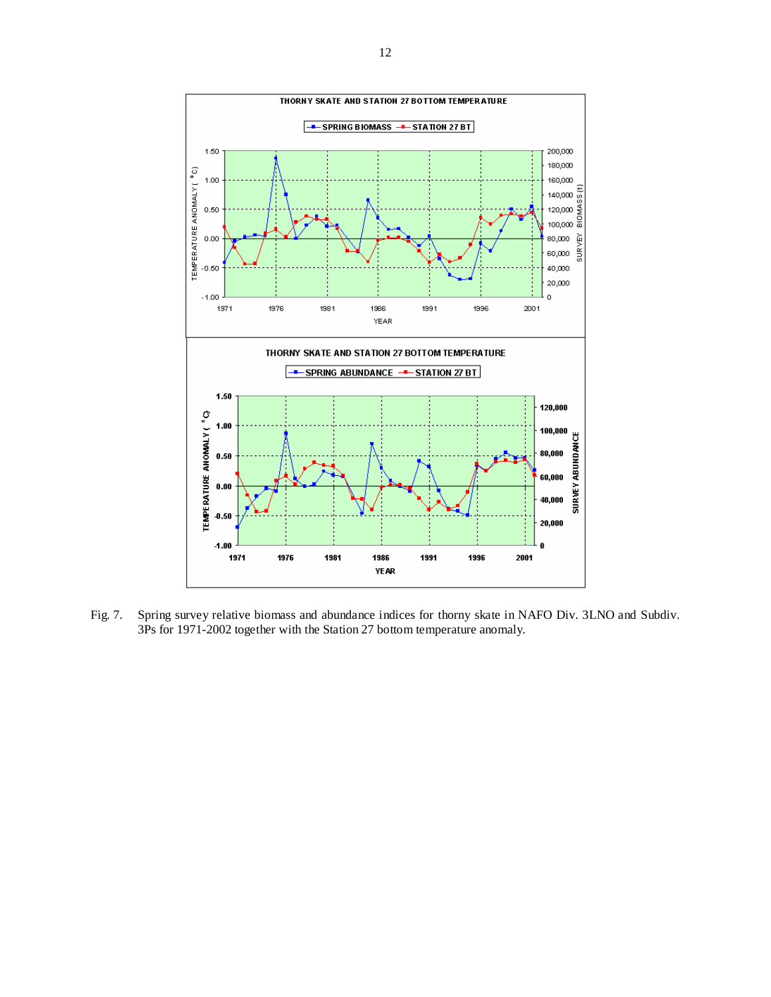

Fig. 7. Spring survey relative biomass and abundance indices for thorny skate in NAFO Div. 3LNO and Subdiv. 3Ps for 1971-2002 together with the Station 27 bottom temperature anomaly.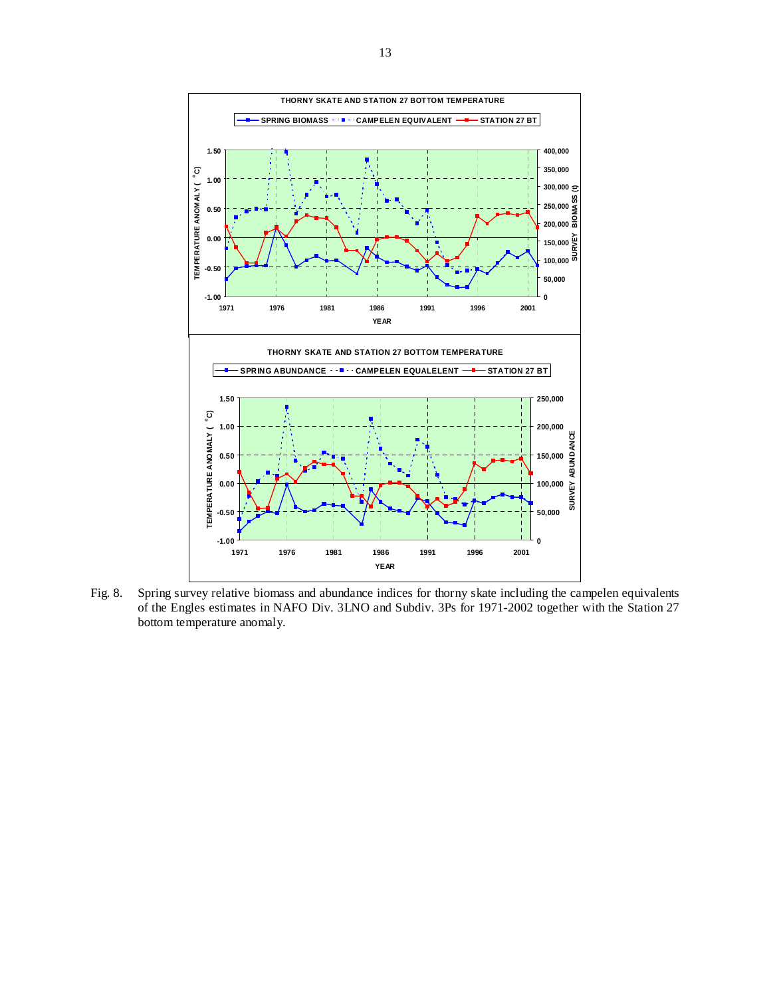

Fig. 8. Spring survey relative biomass and abundance indices for thorny skate including the campelen equivalents of the Engles estimates in NAFO Div. 3LNO and Subdiv. 3Ps for 1971-2002 together with the Station 27 bottom temperature anomaly.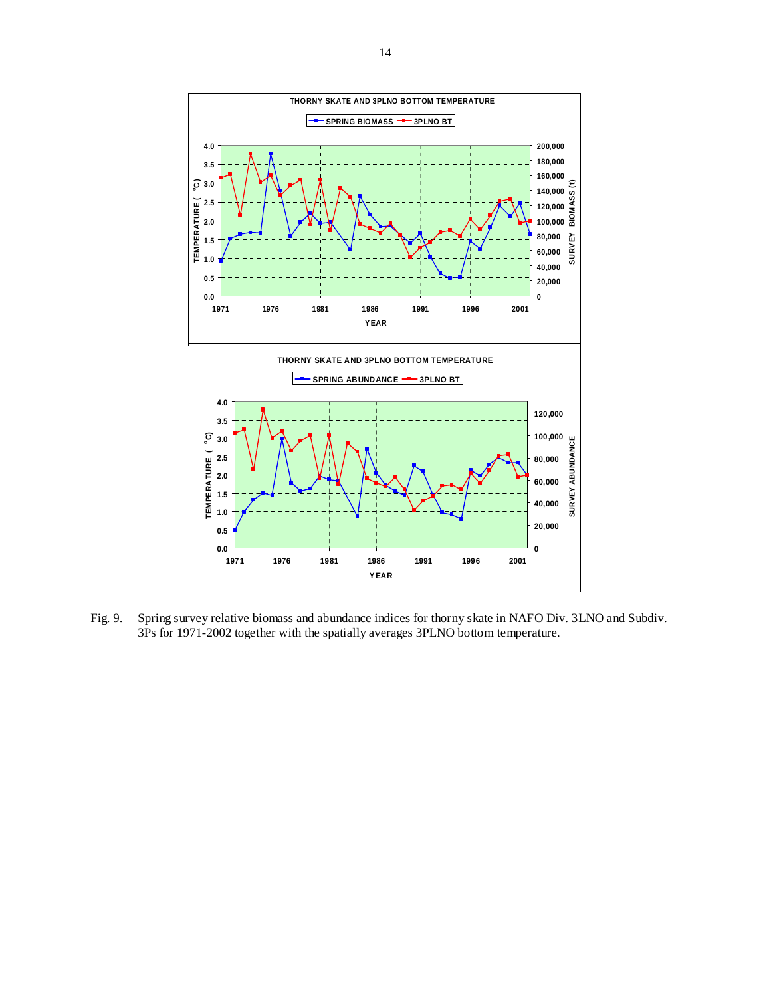

Fig. 9. Spring survey relative biomass and abundance indices for thorny skate in NAFO Div. 3LNO and Subdiv. 3Ps for 1971-2002 together with the spatially averages 3PLNO bottom temperature.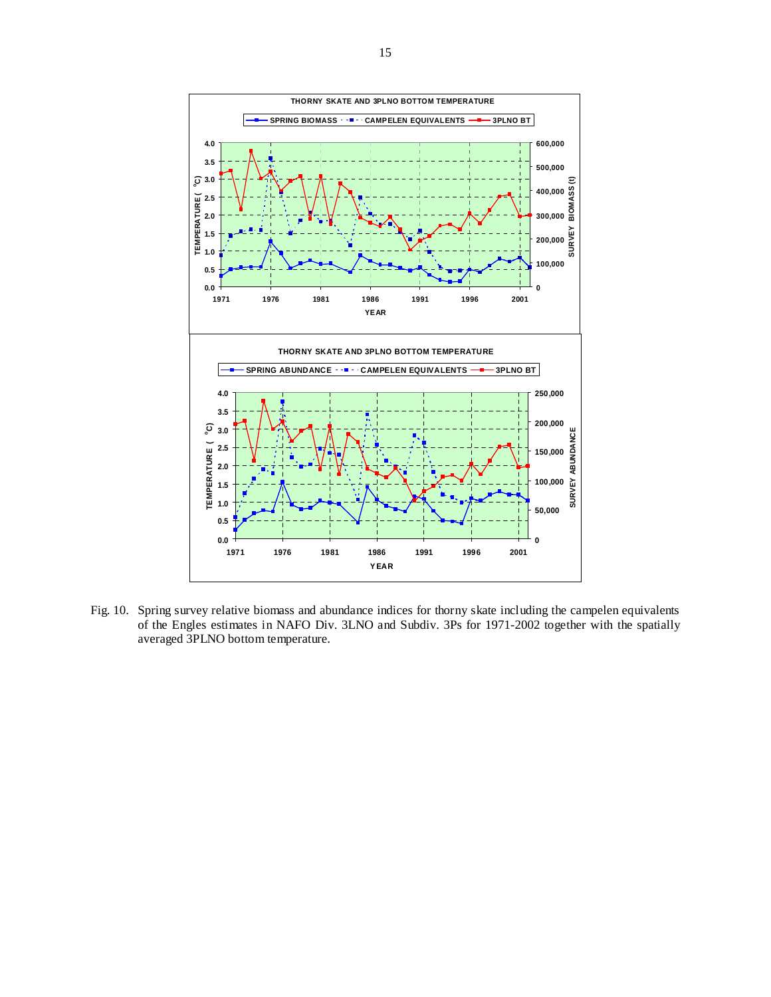

Fig. 10. Spring survey relative biomass and abundance indices for thorny skate including the campelen equivalents of the Engles estimates in NAFO Div. 3LNO and Subdiv. 3Ps for 1971-2002 together with the spatially averaged 3PLNO bottom temperature.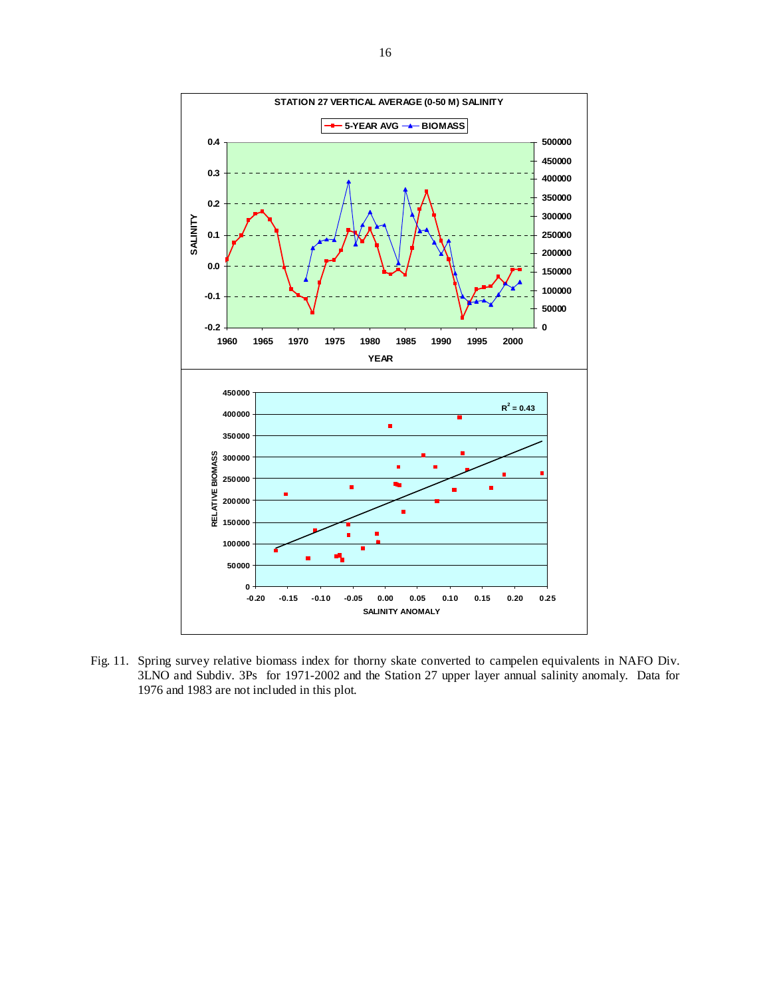

Fig. 11. Spring survey relative biomass index for thorny skate converted to campelen equivalents in NAFO Div. 3LNO and Subdiv. 3Ps for 1971-2002 and the Station 27 upper layer annual salinity anomaly. Data for 1976 and 1983 are not included in this plot.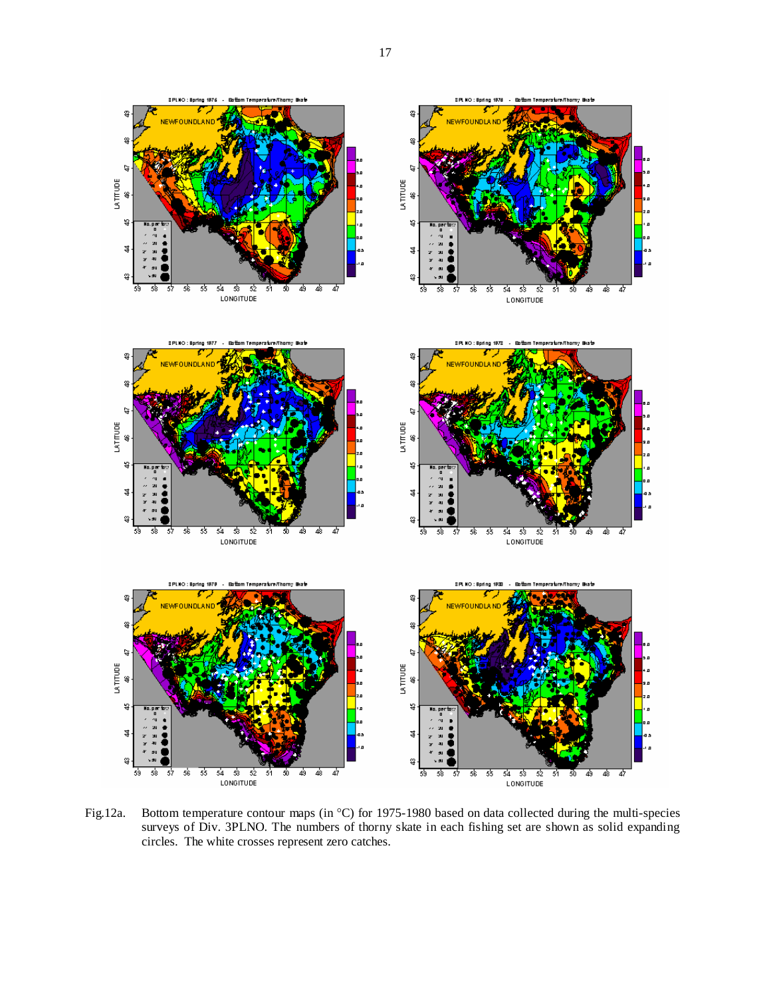

Fig.12a. Bottom temperature contour maps (in °C) for 1975-1980 based on data collected during the multi-species surveys of Div. 3PLNO. The numbers of thorny skate in each fishing set are shown as solid expanding circles. The white crosses represent zero catches.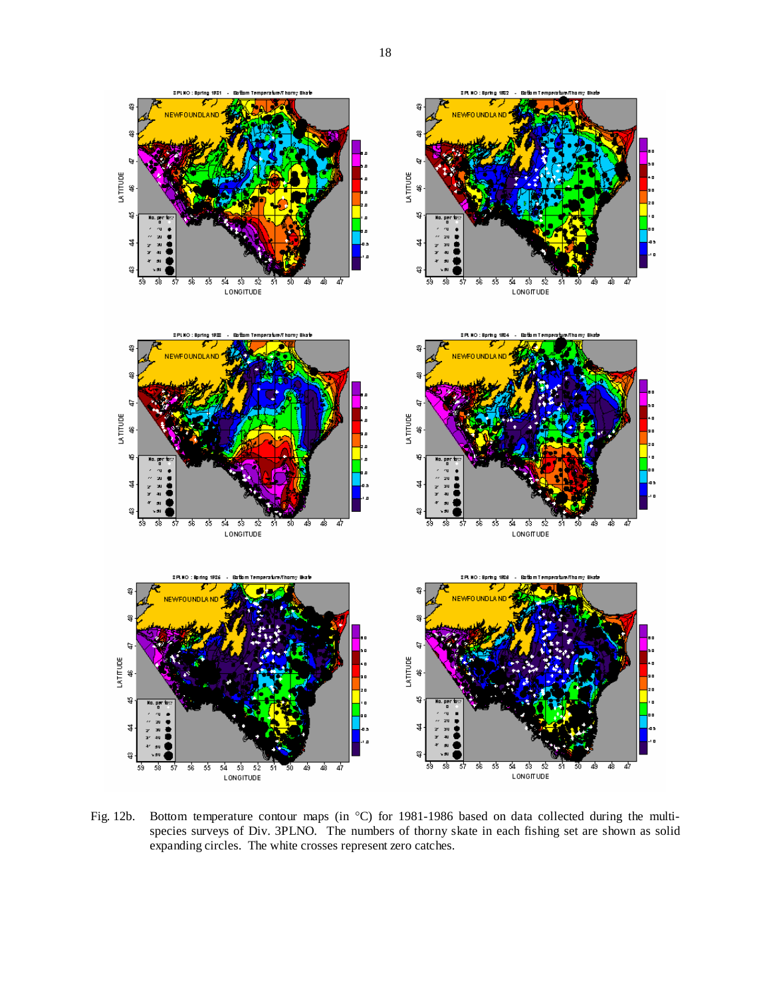

Fig. 12b. Bottom temperature contour maps (in °C) for 1981-1986 based on data collected during the multispecies surveys of Div. 3PLNO. The numbers of thorny skate in each fishing set are shown as solid expanding circles. The white crosses represent zero catches.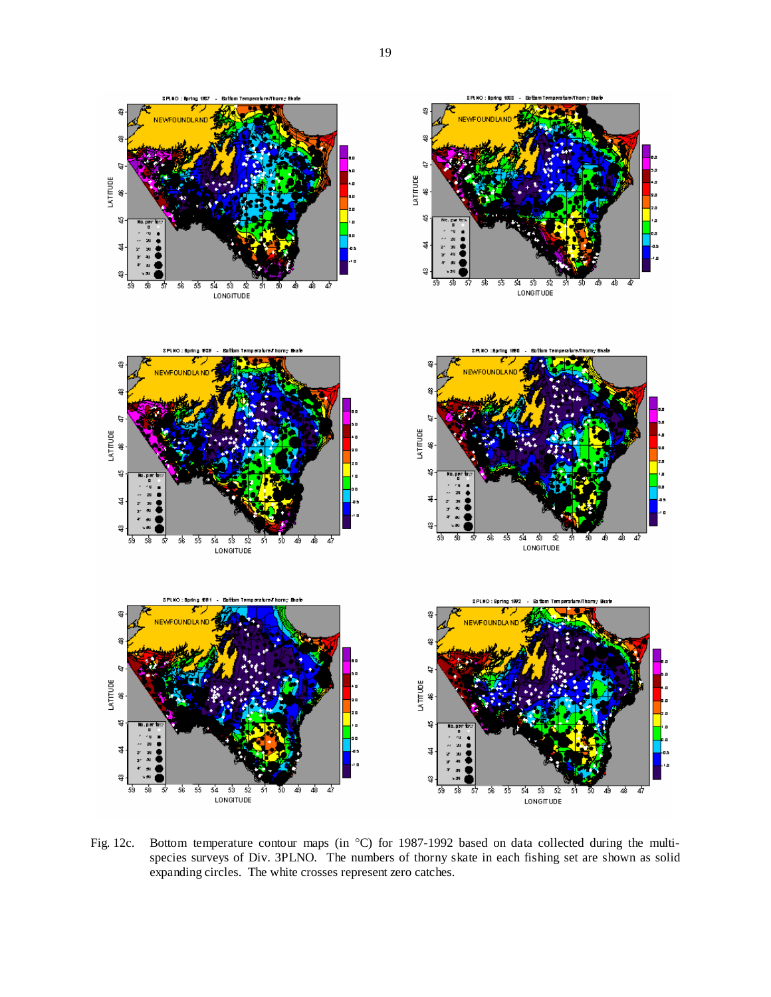

Fig. 12c. Bottom temperature contour maps (in °C) for 1987-1992 based on data collected during the multispecies surveys of Div. 3PLNO. The numbers of thorny skate in each fishing set are shown as solid expanding circles. The white crosses represent zero catches.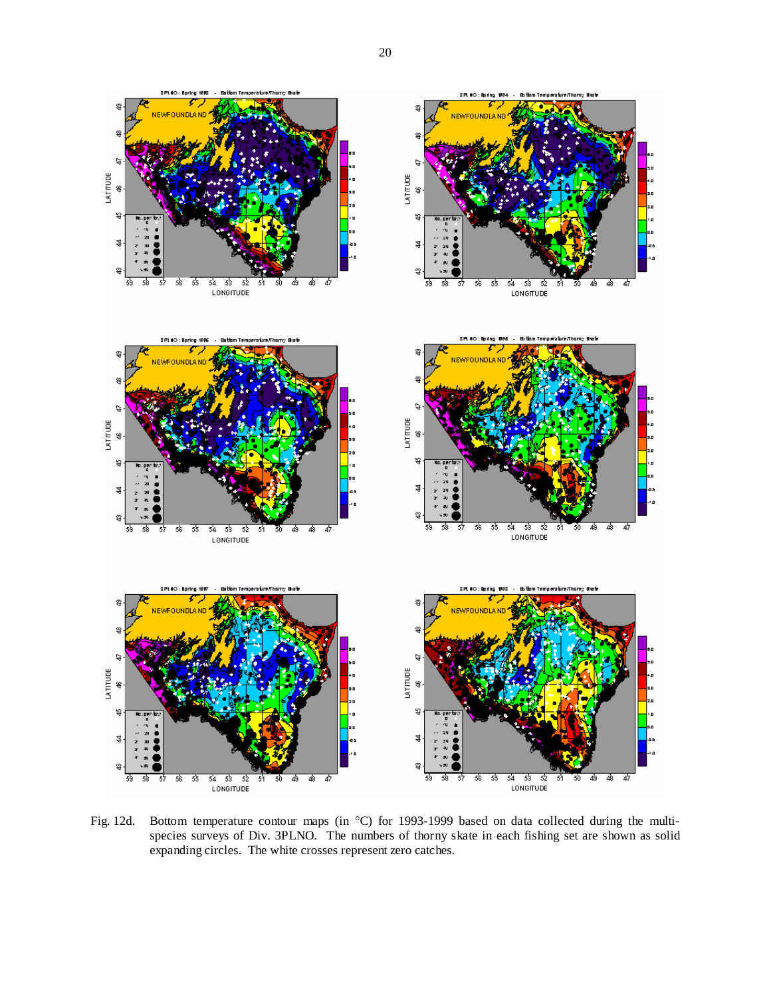



Fig. 12d. Bottom temperature contour maps (in °C) for 1993-1999 based on data collected during the multispecies surveys of Div. 3PLNO. The numbers of thorny skate in each fishing set are shown as solid expanding circles. The white crosses represent zero catches.